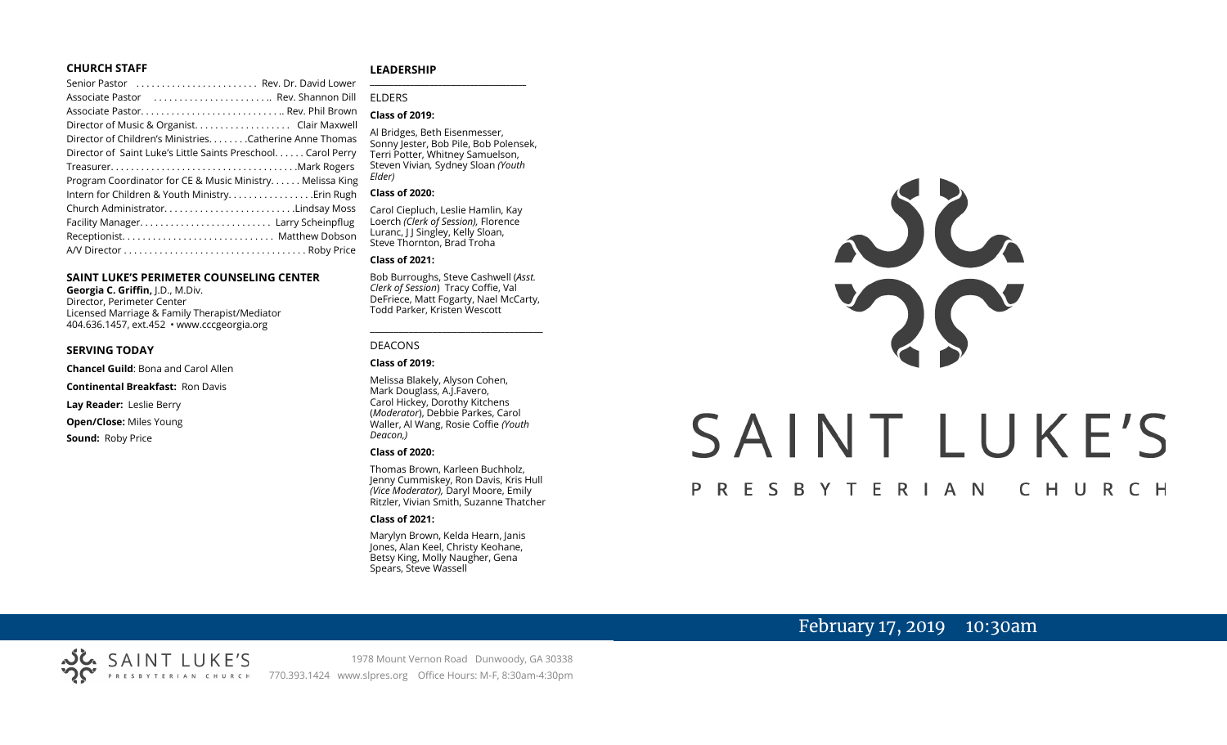#### **CHURCH STAFF**

| Senior Pastor  Rev. Dr. David Lower                           |  |
|---------------------------------------------------------------|--|
| Associate Pastor  Rev. Shannon Dill                           |  |
|                                                               |  |
| Director of Music & Organist. Clair Maxwell                   |  |
| Director of Children's Ministries. Catherine Anne Thomas      |  |
| Director of Saint Luke's Little Saints Preschool. Carol Perry |  |
|                                                               |  |
| Program Coordinator for CE & Music Ministry Melissa King      |  |
| Intern for Children & Youth Ministry Erin Rugh                |  |
| Church AdministratorLindsay Moss                              |  |
|                                                               |  |
|                                                               |  |
|                                                               |  |
|                                                               |  |

#### **SAINT LUKE'S PERIMETER COUNSELING CENTER**

**Georgia C. Griffin,** J.D., M.Div. Director, Perimeter Center Licensed Marriage & Family Therapist/Mediator 404.636.1457, ext.452 • www.cccgeorgia.org

#### **SERVING TODAY**

**Chancel Guild**: Bona and Carol Allen

**Continental Breakfast:** Ron Davis

**Lay Reader:** Leslie Berry

**Open/Close:** Miles Young

**Sound:** Roby Price

#### **LEADERSHIP**

#### ELDERS

#### **Class of 2019:**

Al Bridges, Beth Eisenmesser, Sonny Jester, Bob Pile, Bob Polensek, Terri Potter, Whitney Samuelson, Steven Vivian*,* Sydney Sloan *(Youth Elder)*

**\_\_\_\_\_\_\_\_\_\_\_\_\_\_\_\_\_\_\_\_\_\_\_\_\_\_\_\_\_\_\_\_\_\_\_\_\_\_\_**

#### **Class of 2020:**

Carol Ciepluch, Leslie Hamlin, Kay Loerch *(Clerk of Session),* Florence Luranc, I J Singley, Kelly Sloan, Steve Thornton, Brad Troha

#### **Class of 2021:**

Bob Burroughs, Steve Cashwell (*Asst. Clerk of Session*) Tracy Coffie, Val DeFriece, Matt Fogarty, Nael McCarty, Todd Parker, Kristen Wescott

\_\_\_\_\_\_\_\_\_\_\_\_\_\_\_\_\_\_\_\_\_\_\_\_\_\_\_\_\_\_\_\_\_\_\_\_

#### DEACONS

#### **Class of 2019:**

Melissa Blakely, Alyson Cohen, Mark Douglass, A.J.Favero, Carol Hickey, Dorothy Kitchens (*Moderator*), Debbie Parkes, Carol Waller, Al Wang, Rosie Coffie *(Youth Deacon,)* 

#### **Class of 2020:**

Thomas Brown, Karleen Buchholz, Jenny Cummiskey, Ron Davis, Kris Hull *(Vice Moderator),* Daryl Moore, Emily Ritzler, Vivian Smith, Suzanne Thatcher

#### **Class of 2021:**

Marylyn Brown, Kelda Hearn, Janis Jones, Alan Keel, Christy Keohane, Betsy King, Molly Naugher, Gena Spears, Steve Wassell



# SAINT LUKE'S

#### P R E S B Y T E R I A N CHURCH

# February 17, 2019 10:30am

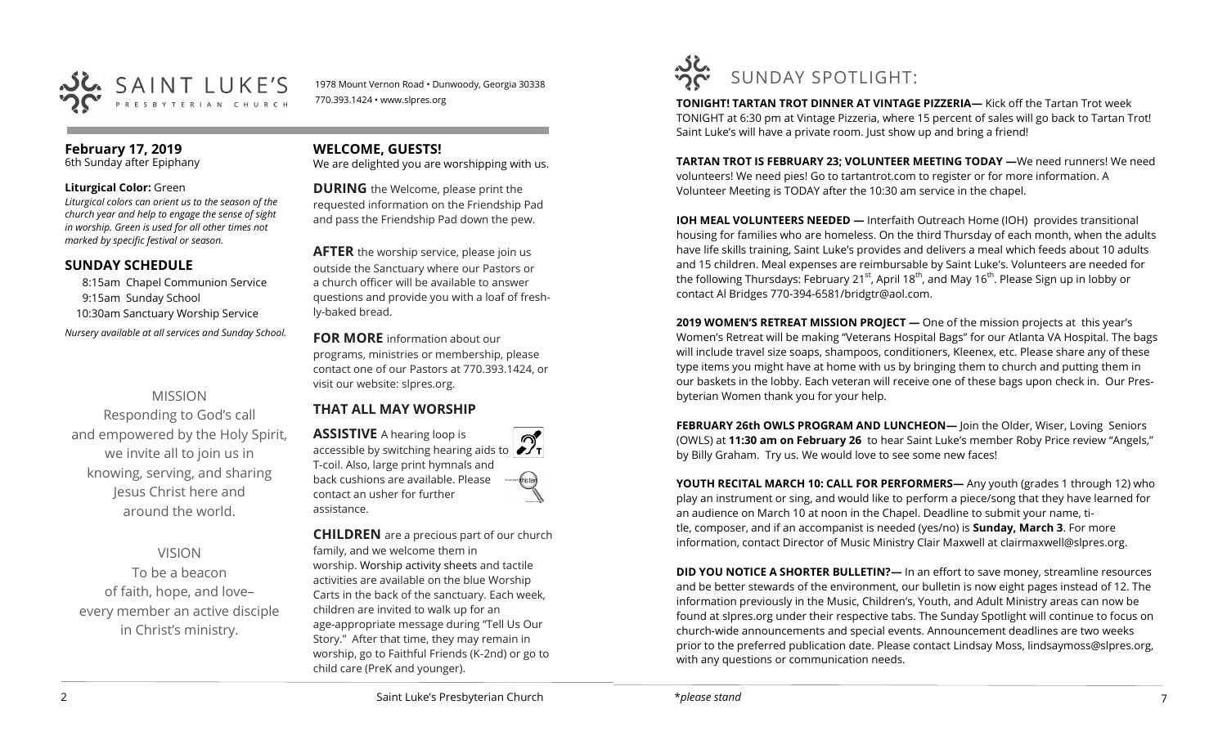

1978 Mount Vernon Road • Dunwoody, Georgia 30338 770.393.1424 • www.slpres.org

# **February 17, 2019**

6th Sunday after Epiphany

#### **Liturgical Color:** Green

*Liturgical colors can orient us to the season of the church year and help to engage the sense of sight in worship. Green is used for all other times not marked by specific festival or season.*

#### **SUNDAY SCHEDULE**

8:15am Chapel Communion Service 9:15am Sunday School 10:30am Sanctuary Worship Service *Nursery available at all services and Sunday School.* 

# MISSION

Responding to God's call and empowered by the Holy Spirit, we invite all to join us in knowing, serving, and sharing Jesus Christ here and around the world.

# VISION

To be a beacon of faith, hope, and love– every member an active disciple in Christ's ministry.

**WELCOME, GUESTS!** 

We are delighted you are worshipping with us.

**DURING** the Welcome, please print the requested information on the Friendship Pad and pass the Friendship Pad down the pew.

**AFTER** the worship service, please join us outside the Sanctuary where our Pastors or a church officer will be available to answer questions and provide you with a loaf of freshly-baked bread.

**FOR MORE** information about our programs, ministries or membership, please contact one of our Pastors at 770.393.1424, or visit our website: slpres.org.

# **THAT ALL MAY WORSHIP**

**ASSISTIVE** A hearing loop is accessible by switching hearing aids to T-coil. Also, large print hymnals and back cushions are available. Please contact an usher for further assistance.

**CHILDREN** are a precious part of our church family, and we welcome them in worship. Worship activity sheets and tactile activities are available on the blue Worship Carts in the back of the sanctuary. Each week, children are invited to walk up for an age-appropriate message during "Tell Us Our Story." After that time, they may remain in worship, go to Faithful Friends (K-2nd) or go to child care (PreK and younger).



**TONIGHT! TARTAN TROT DINNER AT VINTAGE PIZZERIA—** Kick off the Tartan Trot week TONIGHT at 6:30 pm at Vintage Pizzeria, where 15 percent of sales will go back to Tartan Trot! Saint Luke's will have a private room. Just show up and bring a friend!

**TARTAN TROT IS FEBRUARY 23; VOLUNTEER MEETING TODAY —**We need runners! We need volunteers! We need pies! Go to tartantrot.com to register or for more information. A Volunteer Meeting is TODAY after the 10:30 am service in the chapel.

**IOH MEAL VOLUNTEERS NEEDED —** Interfaith Outreach Home (IOH) provides transitional housing for families who are homeless. On the third Thursday of each month, when the adults have life skills training, Saint Luke's provides and delivers a meal which feeds about 10 adults and 15 children. Meal expenses are reimbursable by Saint Luke's. Volunteers are needed for the following Thursdays: February 21<sup>st</sup>, April 18<sup>th</sup>, and May 16<sup>th</sup>. Please Sign up in lobby or contact Al Bridges 770-394-6581/bridgtr@aol.com.

**2019 WOMEN'S RETREAT MISSION PROJECT —** One of the mission projects at this year's Women's Retreat will be making "Veterans Hospital Bags" for our Atlanta VA Hospital. The bags will include travel size soaps, shampoos, conditioners, Kleenex, etc. Please share any of these type items you might have at home with us by bringing them to church and putting them in our baskets in the lobby. Each veteran will receive one of these bags upon check in. Our Presbyterian Women thank you for your help.

**FEBRUARY 26th OWLS PROGRAM AND LUNCHEON—** Join the Older, Wiser, Loving Seniors (OWLS) at **11:30 am on February 26** to hear Saint Luke's member Roby Price review "Angels," by Billy Graham. Try us. We would love to see some new faces!

**YOUTH RECITAL MARCH 10: CALL FOR PERFORMERS—** Any youth (grades 1 through 12) who play an instrument or sing, and would like to perform a piece/song that they have learned for an audience on March 10 at noon in the Chapel. Deadline to submit your name, title, composer, and if an accompanist is needed (yes/no) is **Sunday, March 3**. For more information, contact Director of Music Ministry Clair Maxwell at [clairmaxwell@slpres.org.](mailto:clairmaxwell@slpres.org)

**DID YOU NOTICE A SHORTER BULLETIN?**— In an effort to save money, streamline resources and be better stewards of the environment, our bulletin is now eight pages instead of 12. The information previously in the Music, Children's, Youth, and Adult Ministry areas can now be found at slpres.org under their respective tabs. The Sunday Spotlight will continue to focus on church-wide announcements and special events. Announcement deadlines are two weeks prior to the preferred publication date. Please contact Lindsay Moss, lindsaymoss@slpres.org, with any questions or communication needs.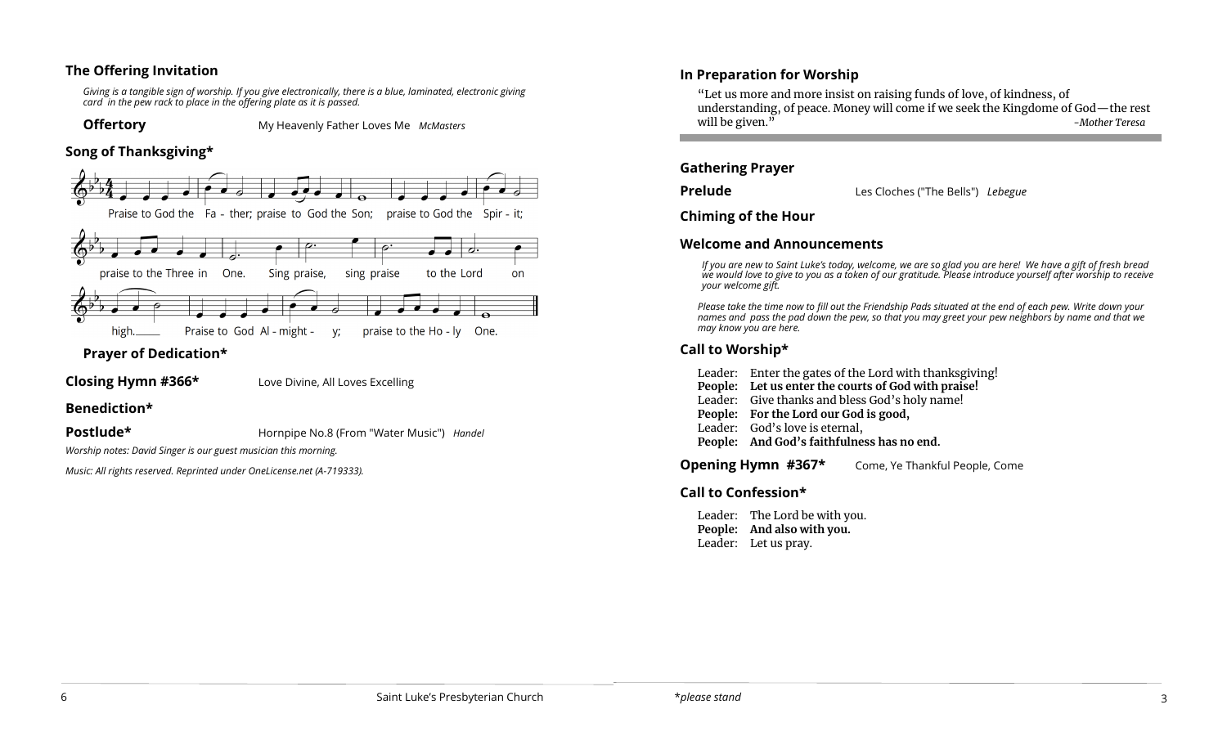#### **The Offering Invitation**

*Giving is a tangible sign of worship. If you give electronically, there is a blue, laminated, electronic giving card in the pew rack to place in the offering plate as it is passed.*

**Offertory** My Heavenly Father Loves Me *McMasters*

#### **Song of Thanksgiving\***



# **Prayer of Dedication\***

# **Closing Hymn #366\*** Love Divine, All Loves Excelling

# **Benediction\***

#### **Postlude\* Hornpipe No.8 (From "Water Music")** *Handel*

*Worship notes: David Singer is our guest musician this morning.*

*Music: All rights reserved. Reprinted under OneLicense.net (A-719333).*

# **In Preparation for Worship**

"Let us more and more insist on raising funds of love, of kindness, of understanding, of peace. Money will come if we seek the Kingdome of God—the rest will be given.<sup>"</sup>

#### **Gathering Prayer**

**Prelude** Les Cloches ("The Bells") *Lebegue*

#### **Chiming of the Hour**

# **Welcome and Announcements**

*If you are new to Saint Luke's today, welcome, we are so glad you are here! We have a gift of fresh bread we would love to give to you as a token of our gratitude. Please introduce yourself after worship to receive your welcome gift.*

*Please take the time now to fill out the Friendship Pads situated at the end of each pew. Write down your names and pass the pad down the pew, so that you may greet your pew neighbors by name and that we may know you are here.*

# **Call to Worship\***

Leader: Enter the gates of the Lord with thanksgiving! **People: Let us enter the courts of God with praise!** Leader: Give thanks and bless God's holy name! **People: For the Lord our God is good,** Leader: God's love is eternal, **People: And God's faithfulness has no end.**

**Opening Hymn #367\*** Come, Ye Thankful People, Come

# **Call to Confession\***

Leader: The Lord be with you. **People: And also with you.**  Leader: Let us pray.